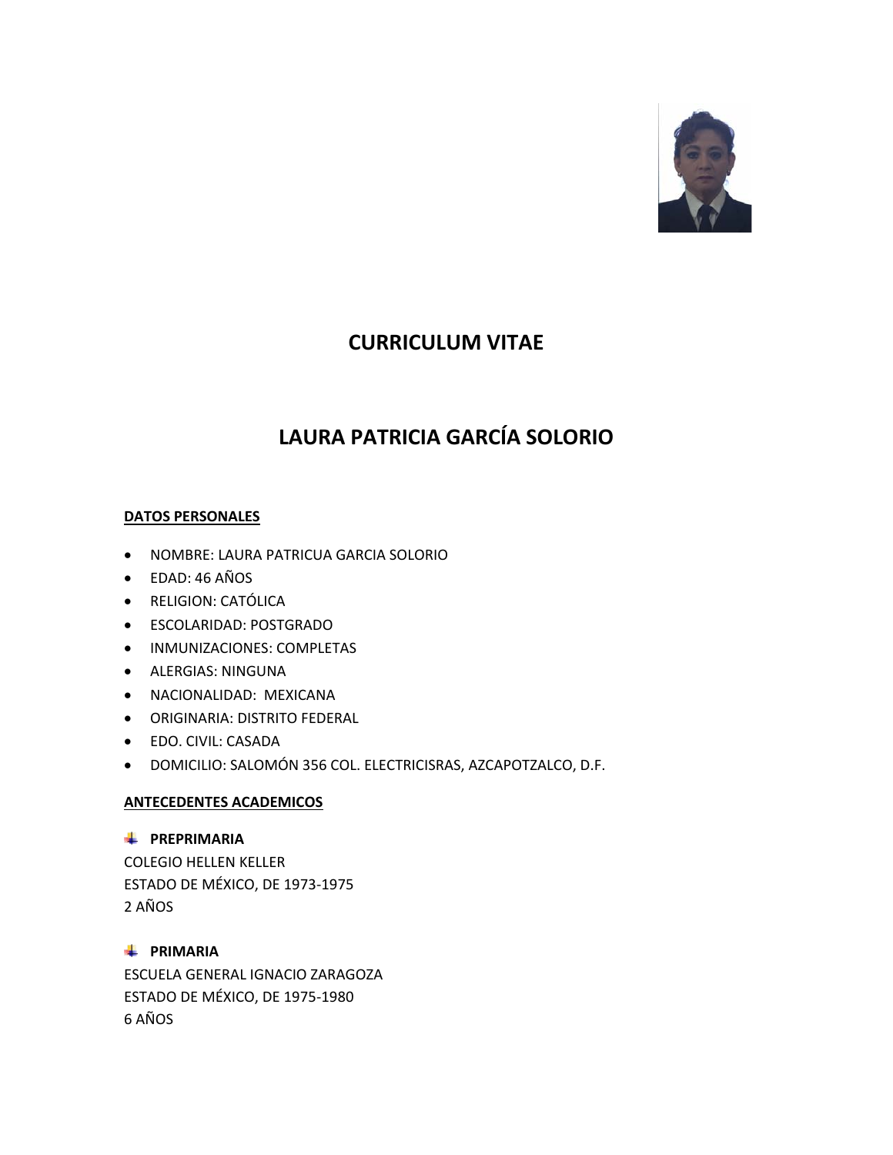

# **CURRICULUM VITAE**

# **LAURA PATRICIA GARCÍA SOLORIO**

# **DATOS PERSONALES**

- NOMBRE: LAURA PATRICUA GARCIA SOLORIO
- EDAD: 46 AÑOS
- RELIGION: CATÓLICA
- ESCOLARIDAD: POSTGRADO
- INMUNIZACIONES: COMPLETAS
- ALERGIAS: NINGUNA
- NACIONALIDAD: MEXICANA
- ORIGINARIA: DISTRITO FEDERAL
- EDO. CIVIL: CASADA
- DOMICILIO: SALOMÓN 356 COL. ELECTRICISRAS, AZCAPOTZALCO, D.F.

# **ANTECEDENTES ACADEMICOS**

### **PREPRIMARIA**

COLEGIO HELLEN KELLER ESTADO DE MÉXICO, DE 1973-1975 2 AÑOS

# **FRIMARIA**

ESCUELA GENERAL IGNACIO ZARAGOZA ESTADO DE MÉXICO, DE 1975-1980 6 AÑOS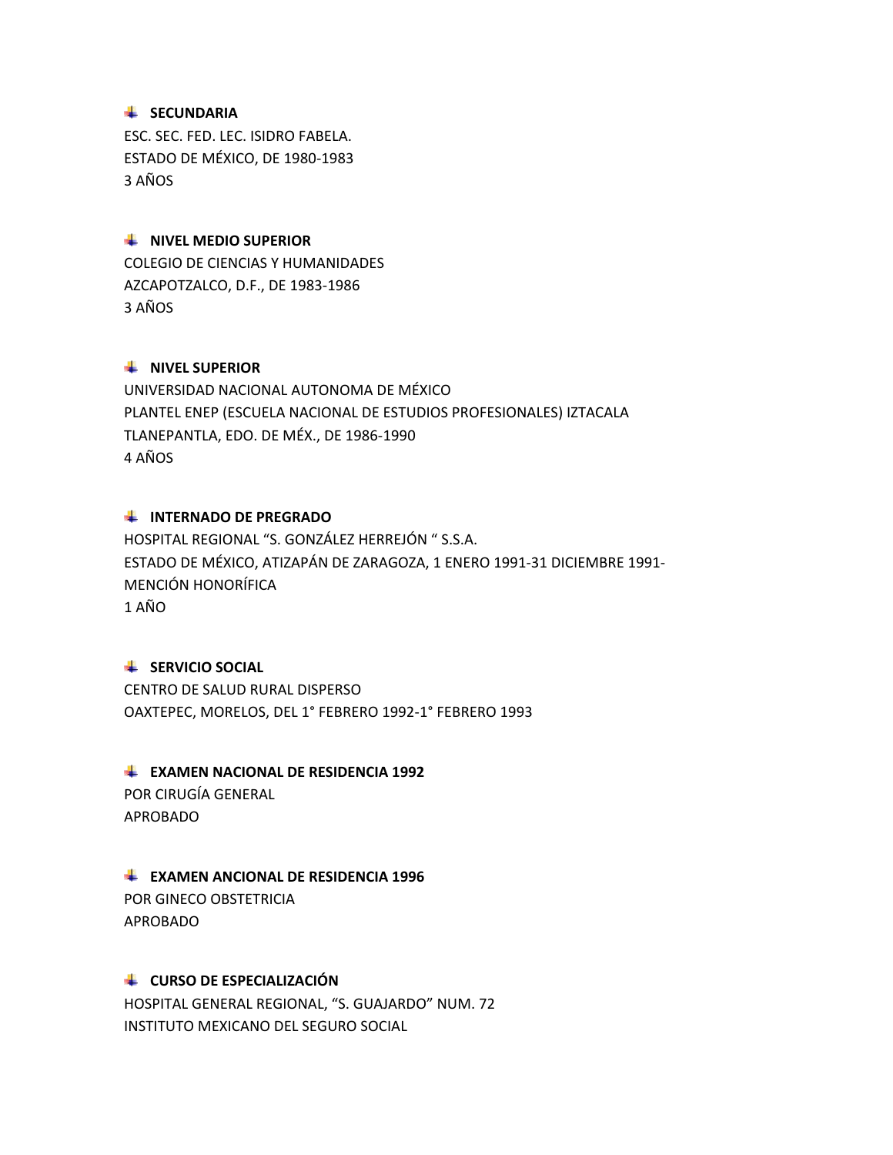### **SECUNDARIA**

ESC. SEC. FED. LEC. ISIDRO FABELA. ESTADO DE MÉXICO, DE 1980-1983 3 AÑOS

### **WEL MEDIO SUPERIOR**

COLEGIO DE CIENCIAS Y HUMANIDADES AZCAPOTZALCO, D.F., DE 1983-1986 3 AÑOS

#### **WIVEL SUPERIOR**

UNIVERSIDAD NACIONAL AUTONOMA DE MÉXICO PLANTEL ENEP (ESCUELA NACIONAL DE ESTUDIOS PROFESIONALES) IZTACALA TLANEPANTLA, EDO. DE MÉX., DE 1986-1990 4 AÑOS

### **INTERNADO DE PREGRADO**

HOSPITAL REGIONAL "S. GONZÁLEZ HERREJÓN " S.S.A. ESTADO DE MÉXICO, ATIZAPÁN DE ZARAGOZA, 1 ENERO 1991-31 DICIEMBRE 1991- MENCIÓN HONORÍFICA 1 AÑO

### **SERVICIO SOCIAL**

CENTRO DE SALUD RURAL DISPERSO OAXTEPEC, MORELOS, DEL 1° FEBRERO 1992-1° FEBRERO 1993

### **EXAMEN NACIONAL DE RESIDENCIA 1992**

POR CIRUGÍA GENERAL APROBADO

#### **EXAMEN ANCIONAL DE RESIDENCIA 1996**

POR GINECO OBSTETRICIA APROBADO

### **LE CURSO DE ESPECIALIZACIÓN**

HOSPITAL GENERAL REGIONAL, "S. GUAJARDO" NUM. 72 INSTITUTO MEXICANO DEL SEGURO SOCIAL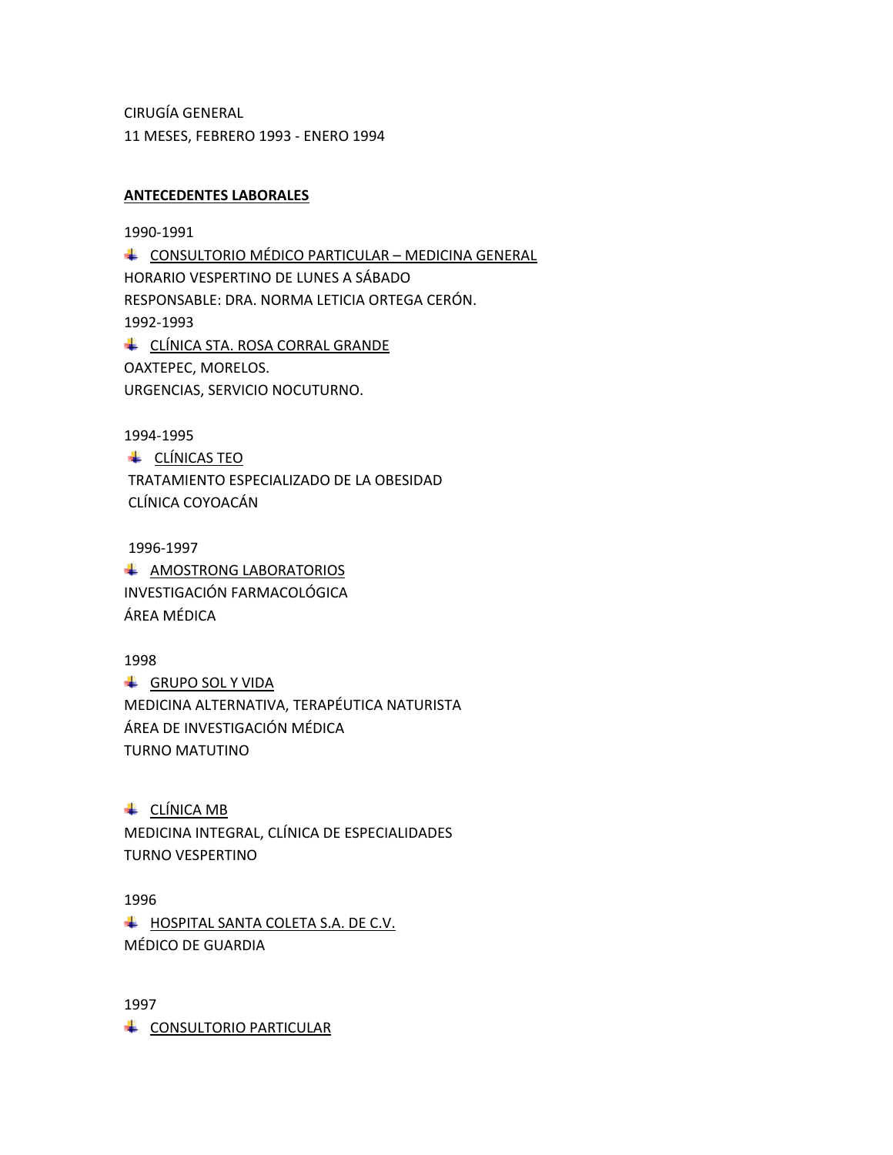CIRUGÍA GENERAL 11 MESES, FEBRERO 1993 - ENERO 1994

### **ANTECEDENTES LABORALES**

1990-1991

**LE CONSULTORIO MÉDICO PARTICULAR – MEDICINA GENERAL** HORARIO VESPERTINO DE LUNES A SÁBADO RESPONSABLE: DRA. NORMA LETICIA ORTEGA CERÓN. 1992-1993 **LE CLÍNICA STA. ROSA CORRAL GRANDE** OAXTEPEC, MORELOS. URGENCIAS, SERVICIO NOCUTURNO.

1994-1995

← CLÍNICAS TEO TRATAMIENTO ESPECIALIZADO DE LA OBESIDAD CLÍNICA COYOACÁN

1996-1997 **A AMOSTRONG LABORATORIOS** INVESTIGACIÓN FARMACOLÓGICA ÁREA MÉDICA

1998 **GRUPO SOL Y VIDA** MEDICINA ALTERNATIVA, TERAPÉUTICA NATURISTA ÁREA DE INVESTIGACIÓN MÉDICA TURNO MATUTINO

← CLÍNICA MB MEDICINA INTEGRAL, CLÍNICA DE ESPECIALIDADES TURNO VESPERTINO

1996 HOSPITAL SANTA COLETA S.A. DE C.V. MÉDICO DE GUARDIA

1997 CONSULTORIO PARTICULAR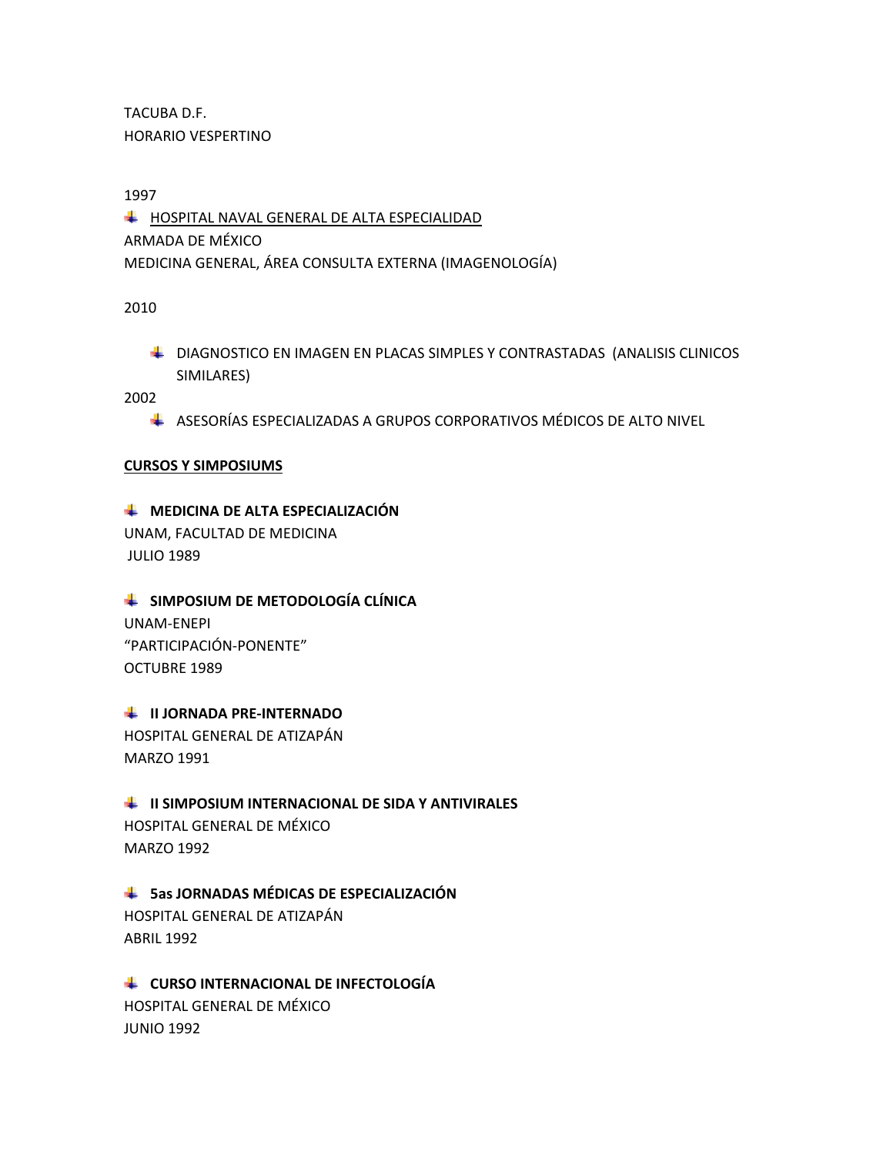TACUBA D.F. HORARIO VESPERTINO

1997

HOSPITAL NAVAL GENERAL DE ALTA ESPECIALIDAD ARMADA DE MÉXICO MEDICINA GENERAL, ÁREA CONSULTA EXTERNA (IMAGENOLOGÍA)

2010

**L** DIAGNOSTICO EN IMAGEN EN PLACAS SIMPLES Y CONTRASTADAS (ANALISIS CLINICOS SIMILARES)

2002

ASESORÍAS ESPECIALIZADAS A GRUPOS CORPORATIVOS MÉDICOS DE ALTO NIVEL

# **CURSOS Y SIMPOSIUMS**

# $\downarrow$  **MEDICINA DE ALTA ESPECIALIZACIÓN**

UNAM, FACULTAD DE MEDICINA JULIO 1989

# **SIMPOSIUM DE METODOLOGÍA CLÍNICA**

UNAM-ENEPI "PARTICIPACIÓN-PONENTE" OCTUBRE 1989

# **II JORNADA PRE-INTERNADO**

HOSPITAL GENERAL DE ATIZAPÁN MARZO 1991

# **II SIMPOSIUM INTERNACIONAL DE SIDA Y ANTIVIRALES**

HOSPITAL GENERAL DE MÉXICO MARZO 1992

# **5as JORNADAS MÉDICAS DE ESPECIALIZACIÓN**

HOSPITAL GENERAL DE ATIZAPÁN ABRIL 1992

# **LE CURSO INTERNACIONAL DE INFECTOLOGÍA** HOSPITAL GENERAL DE MÉXICO

JUNIO 1992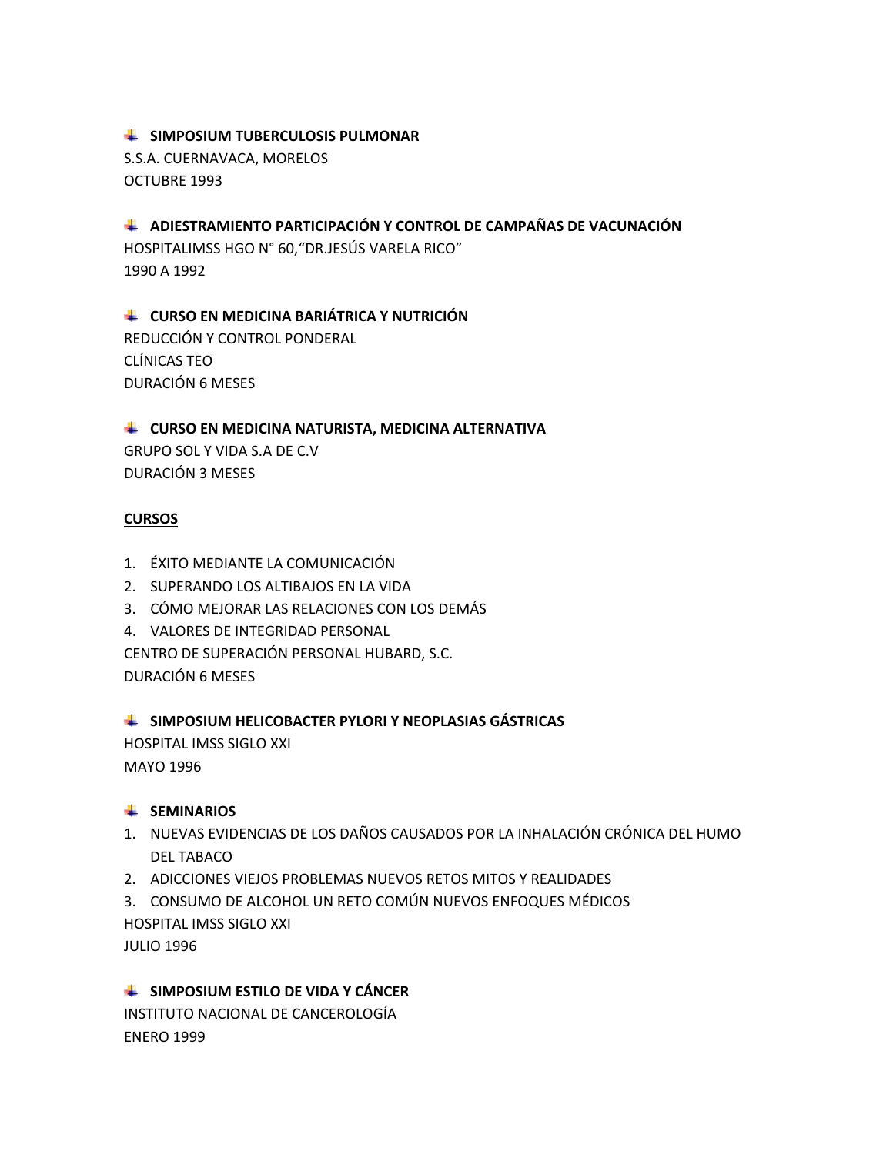# **EXAMPOSIUM TUBERCULOSIS PULMONAR**

S.S.A. CUERNAVACA, MORELOS OCTUBRE 1993

**ADIESTRAMIENTO PARTICIPACIÓN Y CONTROL DE CAMPAÑAS DE VACUNACIÓN** 

HOSPITALIMSS HGO N° 60,"DR.JESÚS VARELA RICO" 1990 A 1992

**CURSO EN MEDICINA BARIÁTRICA Y NUTRICIÓN**  REDUCCIÓN Y CONTROL PONDERAL CLÍNICAS TEO DURACIÓN 6 MESES

# **LEADERS CURSO EN MEDICINA NATURISTA, MEDICINA ALTERNATIVA**

GRUPO SOL Y VIDA S.A DE C.V DURACIÓN 3 MESES

# **CURSOS**

- 1. ÉXITO MEDIANTE LA COMUNICACIÓN
- 2. SUPERANDO LOS ALTIBAJOS EN LA VIDA
- 3. CÓMO MEJORAR LAS RELACIONES CON LOS DEMÁS
- 4. VALORES DE INTEGRIDAD PERSONAL

CENTRO DE SUPERACIÓN PERSONAL HUBARD, S.C.

DURACIÓN 6 MESES

# **SIMPOSIUM HELICOBACTER PYLORI Y NEOPLASIAS GÁSTRICAS**

HOSPITAL IMSS SIGLO XXI MAYO 1996

# **SEMINARIOS**

- 1. NUEVAS EVIDENCIAS DE LOS DAÑOS CAUSADOS POR LA INHALACIÓN CRÓNICA DEL HUMO DEL TABACO
- 2. ADICCIONES VIEJOS PROBLEMAS NUEVOS RETOS MITOS Y REALIDADES

3. CONSUMO DE ALCOHOL UN RETO COMÚN NUEVOS ENFOQUES MÉDICOS HOSPITAL IMSS SIGLO XXI

JULIO 1996

# **EXTREM ESTILO DE VIDA Y CÁNCER**

INSTITUTO NACIONAL DE CANCEROLOGÍA ENERO 1999